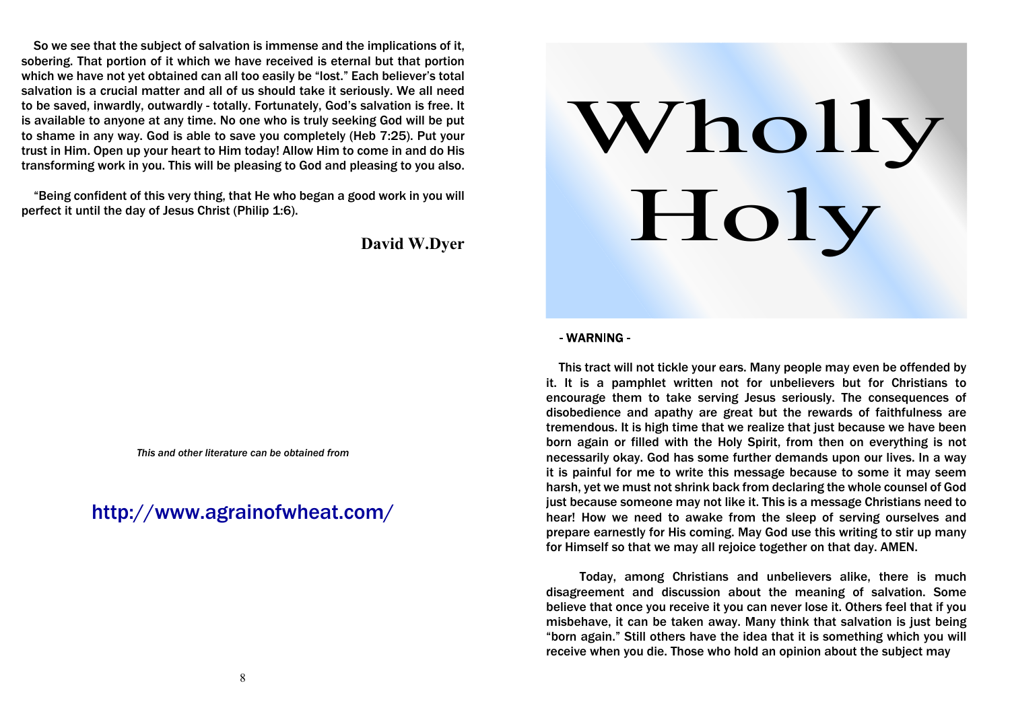So we see that the subject of salvation is immense and the implications of it, sobering. That portion of it which we have received is eternal but that portion which we have not yet obtained can all too easily be "lost." Each believer's total salvation is a crucial matter and all of us should take it seriously. We all need to be saved, inwardly, outwardly - totally. Fortunately, God's salvation is free. It is available to anyone at any time. No one who is truly seeking God will be put to shame in any way. God is able to save you completely (Heb 7:25). Put your trust in Him. Open up your heart to Him today! Allow Him to come in and do His transforming work in you. This will be pleasing to God and pleasing to you also.

 "Being confident of this very thing, that He who began a good work in you will perfect it until the day of Jesus Christ (Philip 1:6).

# **David W.Dyer**

*This and other literature can be obtained from*

http://www.agrainofwheat.com/



### - WARNING -

 This tract will not tickle your ears. Many people may even be offended by it. It is a pamphlet written not for unbelievers but for Christians to encourage them to take serving Jesus seriously. The consequences of disobedience and apathy are great but the rewards of faithfulness are tremendous. It is high time that we realize that just because we have been born again or filled with the Holy Spirit, from then on everything is not necessarily okay. God has some further demands upon our lives. In a way it is painful for me to write this message because to some it may seem harsh, yet we must not shrink back from declaring the whole counsel of God just because someone may not like it. This is a message Christians need to hear! How we need to awake from the sleep of serving ourselves and prepare earnestly for His coming. May God use this writing to stir up many for Himself so that we may all rejoice together on that day. AMEN.

 Today, among Christians and unbelievers alike, there is much disagreement and discussion about the meaning of salvation. Some believe that once you receive it you can never lose it. Others feel that if you misbehave, it can be taken away. Many think that salvation is just being "born again." Still others have the idea that it is something which you will receive when you die. Those who hold an opinion about the subject may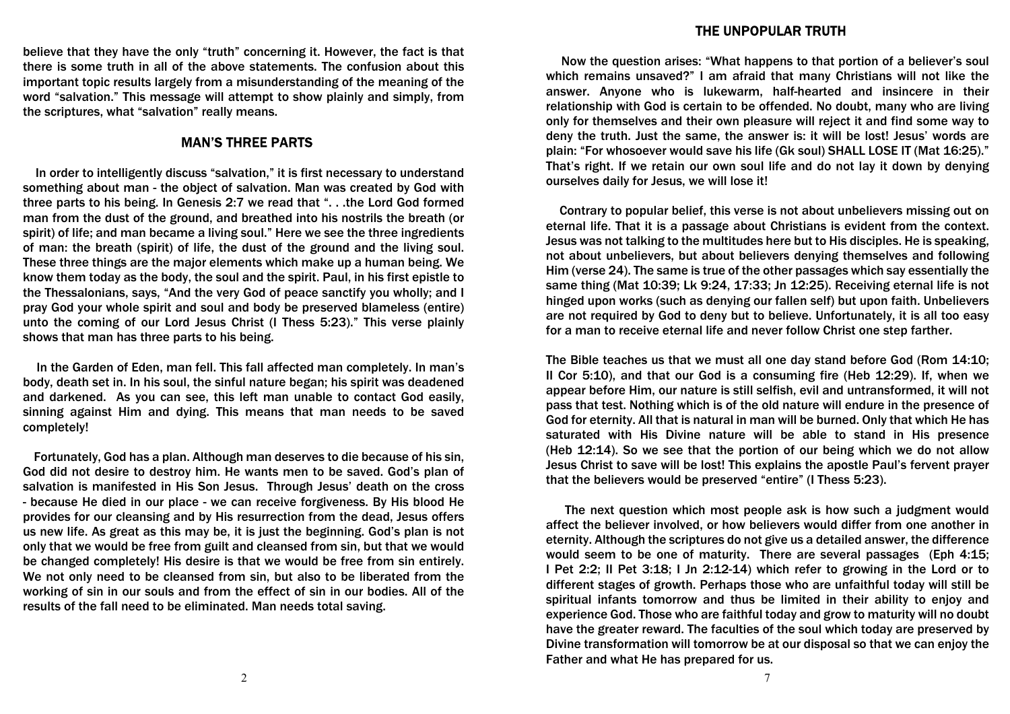#### THE UNPOPULAR TRUTH

believe that they have the only "truth" concerning it. However, the fact is that there is some truth in all of the above statements. The confusion about this important topic results largely from a misunderstanding of the meaning of the word "salvation." This message will attempt to show plainly and simply, from the scriptures, what "salvation" really means.

## **MAN'S THREE PARTS**

 In order to intelligently discuss "salvation," it is first necessary to understand something about man - the object of salvation. Man was created by God with three parts to his being. In Genesis 2:7 we read that ". . .the Lord God formed man from the dust of the ground, and breathed into his nostrils the breath (or spirit) of life; and man became a living soul." Here we see the three ingredients of man: the breath (spirit) of life, the dust of the ground and the living soul. These three things are the major elements which make up a human being. We know them today as the body, the soul and the spirit. Paul, in his first epistle to the Thessalonians, says, "And the very God of peace sanctify you wholly; and I pray God your whole spirit and soul and body be preserved blameless (entire) unto the coming of our Lord Jesus Christ (I Thess 5:23)." This verse plainly shows that man has three parts to his being.

 In the Garden of Eden, man fell. This fall affected man completely. In man's body, death set in. In his soul, the sinful nature began; his spirit was deadened and darkened. As you can see, this left man unable to contact God easily, sinning against Him and dying. This means that man needs to be saved completely!

 Fortunately, God has a plan. Although man deserves to die because of his sin, God did not desire to destroy him. He wants men to be saved. God's plan of salvation is manifested in His Son Jesus. Through Jesus' death on the cross - because He died in our place - we can receive forgiveness. By His blood He provides for our cleansing and by His resurrection from the dead, Jesus offers us new life. As great as this may be, it is just the beginning. God's plan is not only that we would be free from guilt and cleansed from sin, but that we would be changed completely! His desire is that we would be free from sin entirely. We not only need to be cleansed from sin, but also to be liberated from the working of sin in our souls and from the effect of sin in our bodies. All of the results of the fall need to be eliminated. Man needs total saving.

 Now the question arises: "What happens to that portion of a believer's soul which remains unsaved?" I am afraid that many Christians will not like the answer. Anyone who is lukewarm, half-hearted and insincere in their relationship with God is certain to be offended. No doubt, many who are living only for themselves and their own pleasure will reject it and find some way to deny the truth. Just the same, the answer is: it will be lost! Jesus' words are plain: "For whosoever would save his life (Gk soul) SHALL LOSE IT (Mat 16:25)." That's right. If we retain our own soul life and do not lay it down by denying ourselves daily for Jesus, we will lose it!

 Contrary to popular belief, this verse is not about unbelievers missing out on eternal life. That it is a passage about Christians is evident from the context. Jesus was not talking to the multitudes here but to His disciples. He is speaking, not about unbelievers, but about believers denying themselves and following Him (verse 24). The same is true of the other passages which say essentially the same thing (Mat 10:39; Lk 9:24, 17:33; Jn 12:25). Receiving eternal life is not hinged upon works (such as denying our fallen self) but upon faith. Unbelievers are not required by God to deny but to believe. Unfortunately, it is all too easy for a man to receive eternal life and never follow Christ one step farther.

The Bible teaches us that we must all one day stand before God (Rom 14:10; II Cor 5:10), and that our God is a consuming fire (Heb 12:29). If, when we appear before Him, our nature is still selfish, evil and untransformed, it will not pass that test. Nothing which is of the old nature will endure in the presence of God for eternity. All that is natural in man will be burned. Only that which He has saturated with His Divine nature will be able to stand in His presence (Heb 12:14). So we see that the portion of our being which we do not allow Jesus Christ to save will be lost! This explains the apostle Paul's fervent prayer that the believers would be preserved "entire" (I Thess 5:23).

 The next question which most people ask is how such a judgment would affect the believer involved, or how believers would differ from one another in eternity. Although the scriptures do not give us a detailed answer, the difference would seem to be one of maturity. There are several passages (Eph 4:15; I Pet 2:2; II Pet 3:18; I Jn 2:12-14) which refer to growing in the Lord or to different stages of growth. Perhaps those who are unfaithful today will still be spiritual infants tomorrow and thus be limited in their ability to enjoy and experience God. Those who are faithful today and grow to maturity will no doubt have the greater reward. The faculties of the soul which today are preserved by Divine transformation will tomorrow be at our disposal so that we can enjoy the Father and what He has prepared for us.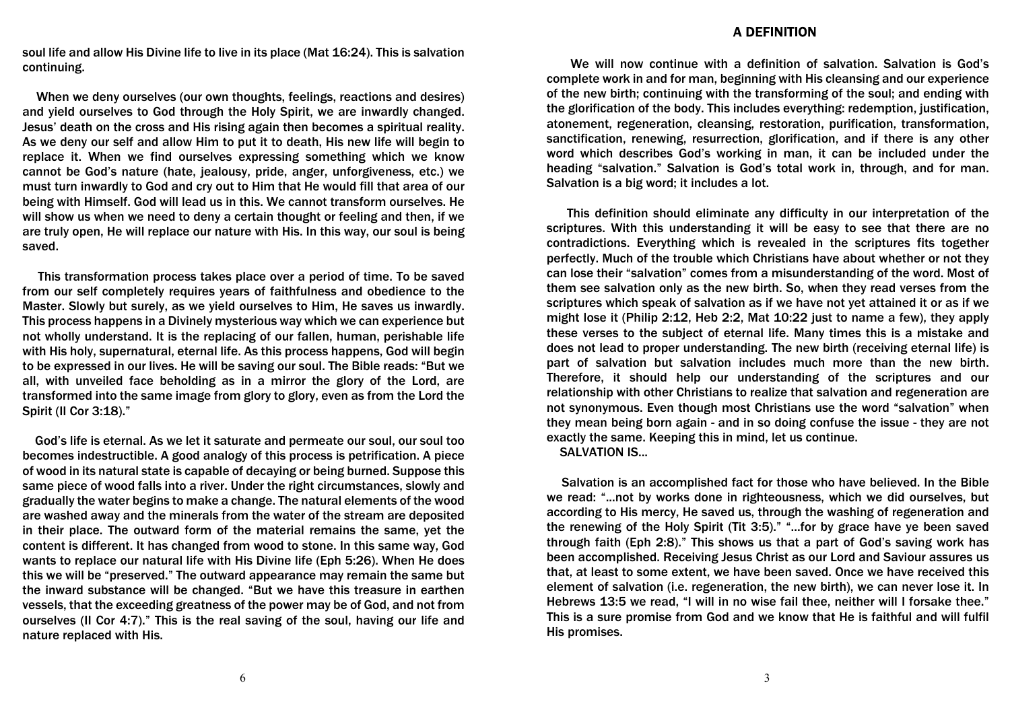#### **A DEFINITION**

soul life and allow His Divine life to live in its place (Mat 16:24). This is salvation continuing.

 When we deny ourselves (our own thoughts, feelings, reactions and desires) and yield ourselves to God through the Holy Spirit, we are inwardly changed. Jesus' death on the cross and His rising again then becomes a spiritual reality. As we deny our self and allow Him to put it to death, His new life will begin to replace it. When we find ourselves expressing something which we know cannot be God's nature (hate, jealousy, pride, anger, unforgiveness, etc.) we must turn inwardly to God and cry out to Him that He would fill that area of our being with Himself. God will lead us in this. We cannot transform ourselves. He will show us when we need to deny a certain thought or feeling and then, if we are truly open, He will replace our nature with His. In this way, our soul is being saved.

 This transformation process takes place over a period of time. To be saved from our self completely requires years of faithfulness and obedience to the Master. Slowly but surely, as we yield ourselves to Him, He saves us inwardly. This process happens in a Divinely mysterious way which we can experience but not wholly understand. It is the replacing of our fallen, human, perishable life with His holy, supernatural, eternal life. As this process happens, God will begin to be expressed in our lives. He will be saving our soul. The Bible reads: "But we all, with unveiled face beholding as in a mirror the glory of the Lord, are transformed into the same image from glory to glory, even as from the Lord the Spirit (II Cor 3:18)."

 God's life is eternal. As we let it saturate and permeate our soul, our soul too becomes indestructible. A good analogy of this process is petrification. A piece of wood in its natural state is capable of decaying or being burned. Suppose this same piece of wood falls into a river. Under the right circumstances, slowly and gradually the water begins to make a change. The natural elements of the wood are washed away and the minerals from the water of the stream are deposited in their place. The outward form of the material remains the same, yet the content is different. It has changed from wood to stone. In this same way, God wants to replace our natural life with His Divine life (Eph 5:26). When He does this we will be "preserved." The outward appearance may remain the same but the inward substance will be changed. "But we have this treasure in earthen vessels, that the exceeding greatness of the power may be of God, and not from ourselves (II Cor 4:7)." This is the real saving of the soul, having our life and nature replaced with His.

 We will now continue with a definition of salvation. Salvation is God's complete work in and for man, beginning with His cleansing and our experience of the new birth; continuing with the transforming of the soul; and ending with the glorification of the body. This includes everything: redemption, justification, atonement, regeneration, cleansing, restoration, purification, transformation, sanctification, renewing, resurrection, glorification, and if there is any other word which describes God's working in man, it can be included under the heading "salvation." Salvation is God's total work in, through, and for man. Salvation is a big word; it includes a lot.

 This definition should eliminate any difficulty in our interpretation of the scriptures. With this understanding it will be easy to see that there are no contradictions. Everything which is revealed in the scriptures fits together perfectly. Much of the trouble which Christians have about whether or not they can lose their "salvation" comes from a misunderstanding of the word. Most of them see salvation only as the new birth. So, when they read verses from the scriptures which speak of salvation as if we have not yet attained it or as if we might lose it (Philip 2:12, Heb 2:2, Mat 10:22 just to name a few), they apply these verses to the subject of eternal life. Many times this is a mistake and does not lead to proper understanding. The new birth (receiving eternal life) is part of salvation but salvation includes much more than the new birth. Therefore, it should help our understanding of the scriptures and our relationship with other Christians to realize that salvation and regeneration are not synonymous. Even though most Christians use the word "salvation" when they mean being born again - and in so doing confuse the issue - they are not exactly the same. Keeping this in mind, let us continue.

SALVATION IS...

 Salvation is an accomplished fact for those who have believed. In the Bible we read: "...not by works done in righteousness, which we did ourselves, but according to His mercy, He saved us, through the washing of regeneration and the renewing of the Holy Spirit (Tit 3:5)." "...for by grace have ye been saved through faith (Eph 2:8)." This shows us that a part of God's saving work has been accomplished. Receiving Jesus Christ as our Lord and Saviour assures us that, at least to some extent, we have been saved. Once we have received this element of salvation (i.e. regeneration, the new birth), we can never lose it. In Hebrews 13:5 we read, "I will in no wise fail thee, neither will I forsake thee." This is a sure promise from God and we know that He is faithful and will fulfil His promises.